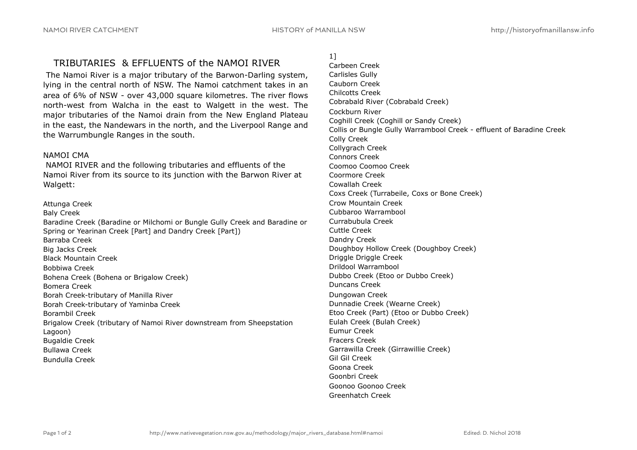# TRIBUTARIES & EFFLUENTS of the NAMOI RIVER

 The Namoi River is a major tributary of the Barwon-Darling system, lying in the central north of NSW. The Namoi catchment takes in an area of 6% of NSW - over 43,000 square kilometres. The river flows north-west from Walcha in the east to Walgett in the west. The major tributaries of the Namoi drain from the New England Plateau in the east, the Nandewars in the north, and the Liverpool Range and the Warrumbungle Ranges in the south.

### NAMOI CMA

 NAMOI RIVER and the following tributaries and effluents of the Namoi River from its source to its junction with the Barwon River at Walgett:

Attunga Creek Baly Creek Baradine Creek (Baradine or Milchomi or Bungle Gully Creek and Baradine or Spring or Yearinan Creek [Part] and Dandry Creek [Part]) Barraba Creek Big Jacks Creek Black Mountain Creek Bobbiwa Creek Bohena Creek (Bohena or Brigalow Creek) Bomera Creek Borah Creek-tributary of Manilla River Borah Creek-tributary of Yaminba Creek Borambil Creek Brigalow Creek (tributary of Namoi River downstream from Sheepstation Lagoon) Bugaldie Creek Bullawa Creek Bundulla Creek

## 1]

Carbeen Creek Carlisles Gully Cauborn Creek Chilcotts Creek Cobrabald River (Cobrabald Creek) Cockburn River Coghill Creek (Coghill or Sandy Creek) Collis or Bungle Gully Warrambool Creek - effluent of Baradine Creek Colly Creek Collygrach Creek Connors Creek Coomoo Coomoo Creek Coormore Creek Cowallah Creek Coxs Creek (Turrabeile, Coxs or Bone Creek) Crow Mountain Creek Cubbaroo Warrambool Currabubula Creek Cuttle Creek Dandry Creek Doughboy Hollow Creek (Doughboy Creek) Driggle Driggle Creek Drildool Warrambool Dubbo Creek (Etoo or Dubbo Creek) Duncans Creek Dungowan Creek Dunnadie Creek (Wearne Creek) Etoo Creek (Part) (Etoo or Dubbo Creek) Eulah Creek (Bulah Creek) Eumur Creek Fracers Creek Garrawilla Creek (Girrawillie Creek) Gil Gil Creek Goona Creek Goonbri Creek Goonoo Goonoo Creek Greenhatch Creek